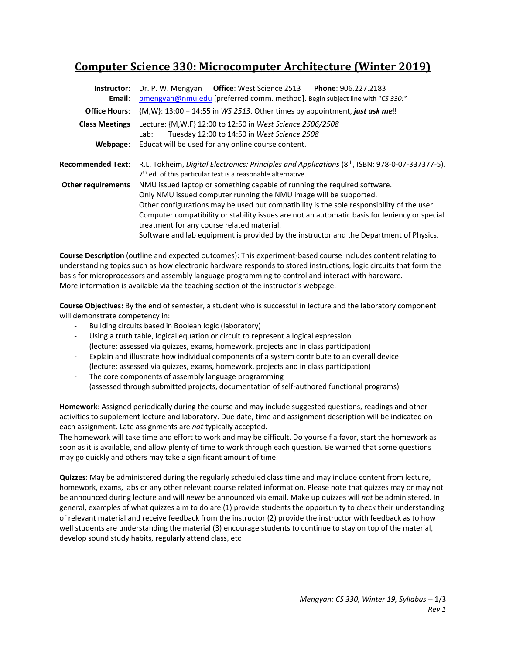# **Computer Science 330: Microcomputer Architecture (Winter 2019)**

| Instructor:<br>Email:     | Dr. P. W. Mengyan Office: West Science 2513<br>Phone: 906.227.2183<br>pmengyan@nmu.edu [preferred comm. method]. Begin subject line with "CS 330:"                                                                                                                                                                                                                                                                                                                                    |  |  |  |  |
|---------------------------|---------------------------------------------------------------------------------------------------------------------------------------------------------------------------------------------------------------------------------------------------------------------------------------------------------------------------------------------------------------------------------------------------------------------------------------------------------------------------------------|--|--|--|--|
| <b>Office Hours:</b>      | ${M,W}$ : 13:00 – 14:55 in WS 2513. Other times by appointment, just ask me!                                                                                                                                                                                                                                                                                                                                                                                                          |  |  |  |  |
| <b>Class Meetings</b>     | Lecture: {M,W,F} 12:00 to 12:50 in West Science 2506/2508<br>Tuesday 12:00 to 14:50 in West Science 2508<br>Lab:                                                                                                                                                                                                                                                                                                                                                                      |  |  |  |  |
| Webpage:                  | Educat will be used for any online course content.                                                                                                                                                                                                                                                                                                                                                                                                                                    |  |  |  |  |
| <b>Recommended Text:</b>  | R.L. Tokheim, Digital Electronics: Principles and Applications (8 <sup>th</sup> , ISBN: 978-0-07-337377-5).<br>7 <sup>th</sup> ed. of this particular text is a reasonable alternative.                                                                                                                                                                                                                                                                                               |  |  |  |  |
| <b>Other requirements</b> | NMU issued laptop or something capable of running the required software.<br>Only NMU issued computer running the NMU image will be supported.<br>Other configurations may be used but compatibility is the sole responsibility of the user.<br>Computer compatibility or stability issues are not an automatic basis for leniency or special<br>treatment for any course related material.<br>Software and lab equipment is provided by the instructor and the Department of Physics. |  |  |  |  |

**Course Description** (outline and expected outcomes): This experiment‐based course includes content relating to understanding topics such as how electronic hardware responds to stored instructions, logic circuits that form the basis for microprocessors and assembly language programming to control and interact with hardware. More information is available via the teaching section of the instructor's webpage.

**Course Objectives:** By the end of semester, a student who is successful in lecture and the laboratory component will demonstrate competency in:

- ‐ Building circuits based in Boolean logic (laboratory)
- Using a truth table, logical equation or circuit to represent a logical expression (lecture: assessed via quizzes, exams, homework, projects and in class participation)
- ‐ Explain and illustrate how individual components of a system contribute to an overall device (lecture: assessed via quizzes, exams, homework, projects and in class participation)
- The core components of assembly language programming (assessed through submitted projects, documentation of self‐authored functional programs)

**Homework**: Assigned periodically during the course and may include suggested questions, readings and other activities to supplement lecture and laboratory. Due date, time and assignment description will be indicated on each assignment. Late assignments are *not* typically accepted.

The homework will take time and effort to work and may be difficult. Do yourself a favor, start the homework as soon as it is available, and allow plenty of time to work through each question. Be warned that some questions may go quickly and others may take a significant amount of time.

**Quizzes**: May be administered during the regularly scheduled class time and may include content from lecture, homework, exams, labs or any other relevant course related information. Please note that quizzes may or may not be announced during lecture and will *never* be announced via email. Make up quizzes will *not* be administered. In general, examples of what quizzes aim to do are (1) provide students the opportunity to check their understanding of relevant material and receive feedback from the instructor (2) provide the instructor with feedback as to how well students are understanding the material (3) encourage students to continue to stay on top of the material, develop sound study habits, regularly attend class, etc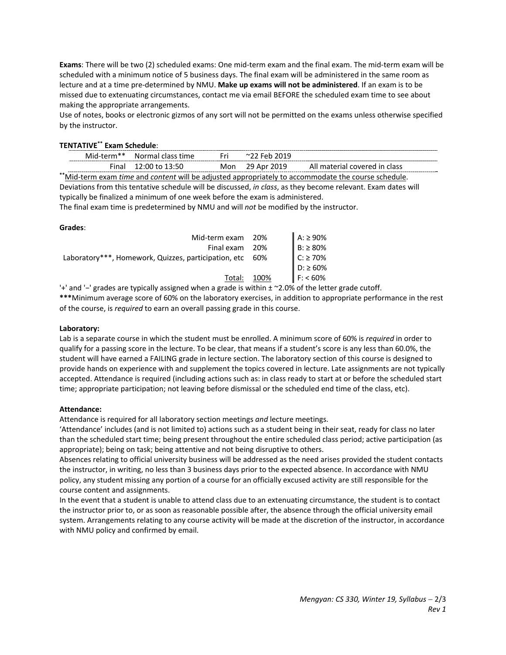**Exams**: There will be two (2) scheduled exams: One mid‐term exam and the final exam. The mid‐term exam will be scheduled with a minimum notice of 5 business days. The final exam will be administered in the same room as lecture and at a time pre‐determined by NMU. **Make up exams will not be administered**. If an exam is to be missed due to extenuating circumstances, contact me via email BEFORE the scheduled exam time to see about making the appropriate arrangements.

Use of notes, books or electronic gizmos of any sort will not be permitted on the exams unless otherwise specified by the instructor.

## **TENTATIVE\*\* Exam Schedule**:

|                                                                                                               | Mid-term** | Normal class time    | Fri. | $\sim$ 22 Feb 2019 |                               |  |  |
|---------------------------------------------------------------------------------------------------------------|------------|----------------------|------|--------------------|-------------------------------|--|--|
|                                                                                                               |            | Final 12:00 to 13:50 |      | Mon 29 Apr 2019    | All material covered in class |  |  |
| **Mid-term exam time and content will be adjusted appropriately to accommodate the course schedule.           |            |                      |      |                    |                               |  |  |
| Deviations from this tentative schedule will be discussed, in class, as they become relevant. Exam dates will |            |                      |      |                    |                               |  |  |

typically be finalized a minimum of one week before the exam is administered.

The final exam time is predetermined by NMU and will *not* be modified by the instructor.

#### **Grades**:

| Mid-term exam 20%                                                                                                                                                                                                                                                                                                                                                                                                            |             | $A: \ge 90\%$  |
|------------------------------------------------------------------------------------------------------------------------------------------------------------------------------------------------------------------------------------------------------------------------------------------------------------------------------------------------------------------------------------------------------------------------------|-------------|----------------|
| Final exam 20%                                                                                                                                                                                                                                                                                                                                                                                                               |             | $B: \geq 80\%$ |
| Laboratory***, Homework, Quizzes, participation, etc 60%                                                                                                                                                                                                                                                                                                                                                                     |             | $C: \geq 70\%$ |
|                                                                                                                                                                                                                                                                                                                                                                                                                              |             | $D: \ge 60\%$  |
|                                                                                                                                                                                                                                                                                                                                                                                                                              | Total: 100% | $F: < 60\%$    |
| $\mathbf{A} = \mathbf{A} + \mathbf{A} + \mathbf{A} + \mathbf{A} + \mathbf{A} + \mathbf{A} + \mathbf{A} + \mathbf{A} + \mathbf{A} + \mathbf{A} + \mathbf{A} + \mathbf{A} + \mathbf{A} + \mathbf{A} + \mathbf{A} + \mathbf{A} + \mathbf{A} + \mathbf{A} + \mathbf{A} + \mathbf{A} + \mathbf{A} + \mathbf{A} + \mathbf{A} + \mathbf{A} + \mathbf{A} + \mathbf{A} + \mathbf{A} + \mathbf{A} + \mathbf{A} + \mathbf{A} + \mathbf$ |             |                |

'+' and '−' grades are typically assigned when a grade is within ± ~2.0% of the letter grade cutoff. **\*\*\***Minimum average score of 60% on the laboratory exercises, in addition to appropriate performance in the rest

of the course, is *required* to earn an overall passing grade in this course.

#### **Laboratory:**

Lab is a separate course in which the student must be enrolled. A minimum score of 60% is *required* in order to qualify for a passing score in the lecture. To be clear, that means if a student's score is any less than 60.0%, the student will have earned a FAILING grade in lecture section. The laboratory section of this course is designed to provide hands on experience with and supplement the topics covered in lecture. Late assignments are not typically accepted. Attendance is required (including actions such as: in class ready to start at or before the scheduled start time; appropriate participation; not leaving before dismissal or the scheduled end time of the class, etc).

#### **Attendance:**

Attendance is required for all laboratory section meetings *and* lecture meetings.

'Attendance' includes (and is not limited to) actions such as a student being in their seat, ready for class no later than the scheduled start time; being present throughout the entire scheduled class period; active participation (as appropriate); being on task; being attentive and not being disruptive to others.

Absences relating to official university business will be addressed as the need arises provided the student contacts the instructor, in writing, no less than 3 business days prior to the expected absence. In accordance with NMU policy, any student missing any portion of a course for an officially excused activity are still responsible for the course content and assignments.

In the event that a student is unable to attend class due to an extenuating circumstance, the student is to contact the instructor prior to, or as soon as reasonable possible after, the absence through the official university email system. Arrangements relating to any course activity will be made at the discretion of the instructor, in accordance with NMU policy and confirmed by email.